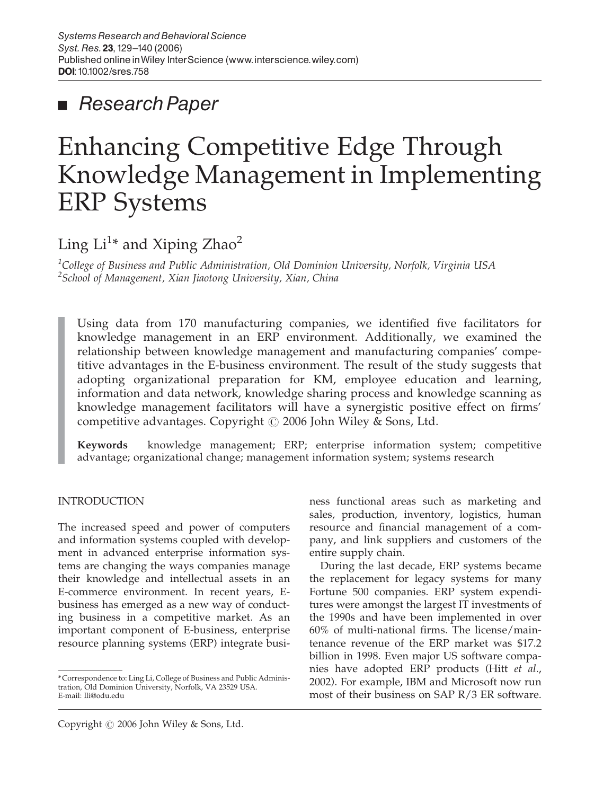# ■ Research Paper

# Enhancing Competitive Edge Through Knowledge Management in Implementing ERP Systems

# Ling  $Li^{1*}$  and Xiping Zhao<sup>2</sup>

 $^{\rm 1}$ College of Business and Public Administration, Old Dominion University, Norfolk, Virginia USA  $^2$ School of Management, Xian Jiaotong University, Xian, China

Using data from 170 manufacturing companies, we identified five facilitators for knowledge management in an ERP environment. Additionally, we examined the relationship between knowledge management and manufacturing companies' competitive advantages in the E-business environment. The result of the study suggests that adopting organizational preparation for KM, employee education and learning, information and data network, knowledge sharing process and knowledge scanning as knowledge management facilitators will have a synergistic positive effect on firms' competitive advantages. Copyright  $\odot$  2006 John Wiley & Sons, Ltd.

Keywords knowledge management; ERP; enterprise information system; competitive advantage; organizational change; management information system; systems research

#### INTRODUCTION

The increased speed and power of computers and information systems coupled with development in advanced enterprise information systems are changing the ways companies manage their knowledge and intellectual assets in an E-commerce environment. In recent years, Ebusiness has emerged as a new way of conducting business in a competitive market. As an important component of E-business, enterprise resource planning systems (ERP) integrate business functional areas such as marketing and sales, production, inventory, logistics, human resource and financial management of a company, and link suppliers and customers of the entire supply chain.

During the last decade, ERP systems became the replacement for legacy systems for many Fortune 500 companies. ERP system expenditures were amongst the largest IT investments of the 1990s and have been implemented in over 60% of multi-national firms. The license/maintenance revenue of the ERP market was \$17.2 billion in 1998. Even major US software companies have adopted ERP products (Hitt et al., 2002). For example, IBM and Microsoft now run most of their business on SAP R/3 ER software.

<sup>\*</sup> Correspondence to: Ling Li, College of Business and Public Administration, Old Dominion University, Norfolk, VA 23529 USA. E-mail: lli@odu.edu

Copyright  $\odot$  2006 John Wiley & Sons, Ltd.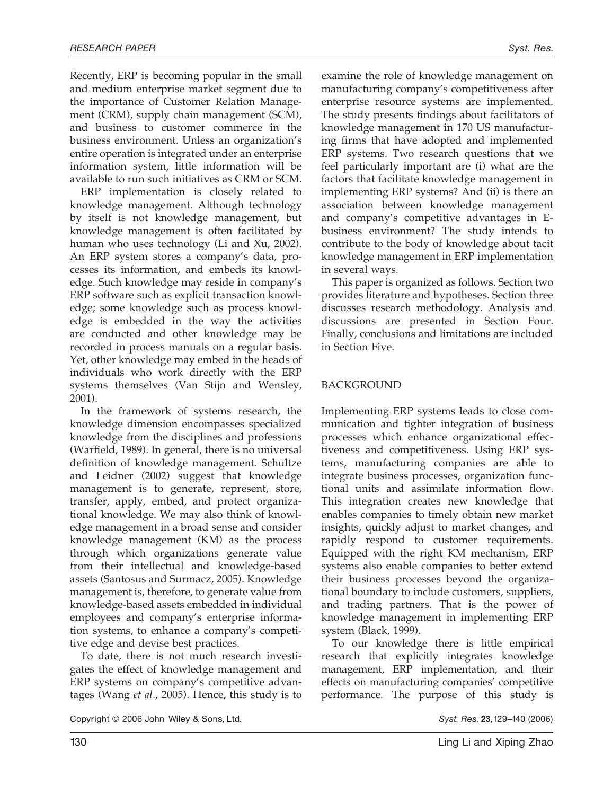Recently, ERP is becoming popular in the small and medium enterprise market segment due to the importance of Customer Relation Management (CRM), supply chain management (SCM), and business to customer commerce in the business environment. Unless an organization's entire operation is integrated under an enterprise information system, little information will be available to run such initiatives as CRM or SCM.

ERP implementation is closely related to knowledge management. Although technology by itself is not knowledge management, but knowledge management is often facilitated by human who uses technology (Li and Xu, 2002). An ERP system stores a company's data, processes its information, and embeds its knowledge. Such knowledge may reside in company's ERP software such as explicit transaction knowledge; some knowledge such as process knowledge is embedded in the way the activities are conducted and other knowledge may be recorded in process manuals on a regular basis. Yet, other knowledge may embed in the heads of individuals who work directly with the ERP systems themselves (Van Stijn and Wensley, 2001).

In the framework of systems research, the knowledge dimension encompasses specialized knowledge from the disciplines and professions (Warfield, 1989). In general, there is no universal definition of knowledge management. Schultze and Leidner (2002) suggest that knowledge management is to generate, represent, store, transfer, apply, embed, and protect organizational knowledge. We may also think of knowledge management in a broad sense and consider knowledge management (KM) as the process through which organizations generate value from their intellectual and knowledge-based assets (Santosus and Surmacz, 2005). Knowledge management is, therefore, to generate value from knowledge-based assets embedded in individual employees and company's enterprise information systems, to enhance a company's competitive edge and devise best practices.

To date, there is not much research investigates the effect of knowledge management and ERP systems on company's competitive advantages (Wang et al., 2005). Hence, this study is to examine the role of knowledge management on manufacturing company's competitiveness after enterprise resource systems are implemented. The study presents findings about facilitators of knowledge management in 170 US manufacturing firms that have adopted and implemented ERP systems. Two research questions that we feel particularly important are (i) what are the factors that facilitate knowledge management in implementing ERP systems? And (ii) is there an association between knowledge management and company's competitive advantages in Ebusiness environment? The study intends to contribute to the body of knowledge about tacit knowledge management in ERP implementation in several ways.

This paper is organized as follows. Section two provides literature and hypotheses. Section three discusses research methodology. Analysis and discussions are presented in Section Four. Finally, conclusions and limitations are included in Section Five.

#### BACKGROUND

Implementing ERP systems leads to close communication and tighter integration of business processes which enhance organizational effectiveness and competitiveness. Using ERP systems, manufacturing companies are able to integrate business processes, organization functional units and assimilate information flow. This integration creates new knowledge that enables companies to timely obtain new market insights, quickly adjust to market changes, and rapidly respond to customer requirements. Equipped with the right KM mechanism, ERP systems also enable companies to better extend their business processes beyond the organizational boundary to include customers, suppliers, and trading partners. That is the power of knowledge management in implementing ERP system (Black, 1999).

To our knowledge there is little empirical research that explicitly integrates knowledge management, ERP implementation, and their effects on manufacturing companies' competitive performance. The purpose of this study is

Copyright © 2006 John Wiley & Sons, Ltd. Syst. Res. 23, 129-140 (2006) 39st. Res. 23, 129-140 (2006)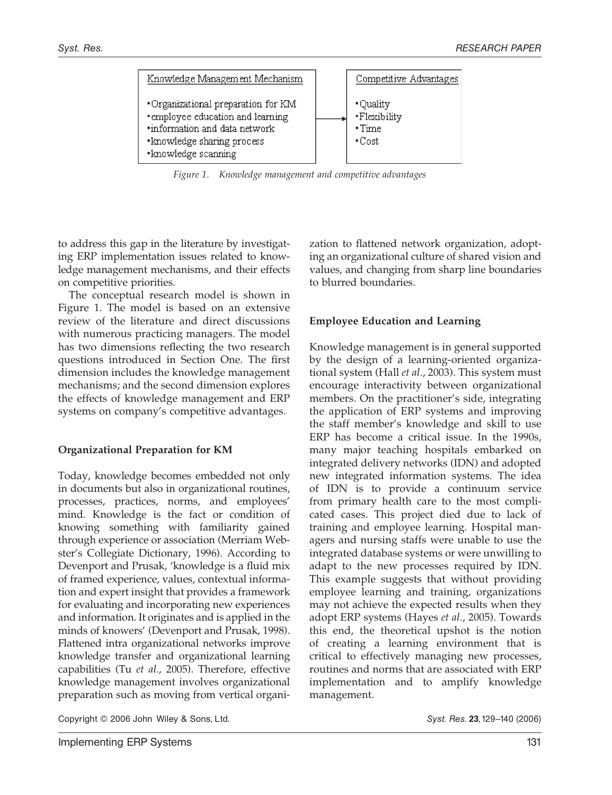

Figure 1. Knowledge management and competitive advantages

to address this gap in the literature by investigating ERP implementation issues related to knowledge management mechanisms, and their effects on competitive priorities.

The conceptual research model is shown in Figure 1. The model is based on an extensive review of the literature and direct discussions with numerous practicing managers. The model has two dimensions reflecting the two research questions introduced in Section One. The first dimension includes the knowledge management mechanisms; and the second dimension explores the effects of knowledge management and ERP systems on company's competitive advantages.

#### Organizational Preparation for KM

Today, knowledge becomes embedded not only in documents but also in organizational routines, processes, practices, norms, and employees' mind. Knowledge is the fact or condition of knowing something with familiarity gained through experience or association (Merriam Webster's Collegiate Dictionary, 1996). According to Devenport and Prusak, 'knowledge is a fluid mix of framed experience, values, contextual information and expert insight that provides a framework for evaluating and incorporating new experiences and information. It originates and is applied in the minds of knowers' (Devenport and Prusak, 1998). Flattened intra organizational networks improve knowledge transfer and organizational learning capabilities (Tu et al., 2005). Therefore, effective knowledge management involves organizational preparation such as moving from vertical organization to flattened network organization, adopting an organizational culture of shared vision and values, and changing from sharp line boundaries to blurred boundaries.

#### Employee Education and Learning

Knowledge management is in general supported by the design of a learning-oriented organizational system (Hall et al., 2003). This system must encourage interactivity between organizational members. On the practitioner's side, integrating the application of ERP systems and improving the staff member's knowledge and skill to use ERP has become a critical issue. In the 1990s, many major teaching hospitals embarked on integrated delivery networks (IDN) and adopted new integrated information systems. The idea of IDN is to provide a continuum service from primary health care to the most complicated cases. This project died due to lack of training and employee learning. Hospital managers and nursing staffs were unable to use the integrated database systems or were unwilling to adapt to the new processes required by IDN. This example suggests that without providing employee learning and training, organizations may not achieve the expected results when they adopt ERP systems (Hayes et al., 2005). Towards this end, the theoretical upshot is the notion of creating a learning environment that is critical to effectively managing new processes, routines and norms that are associated with ERP implementation and to amplify knowledge management.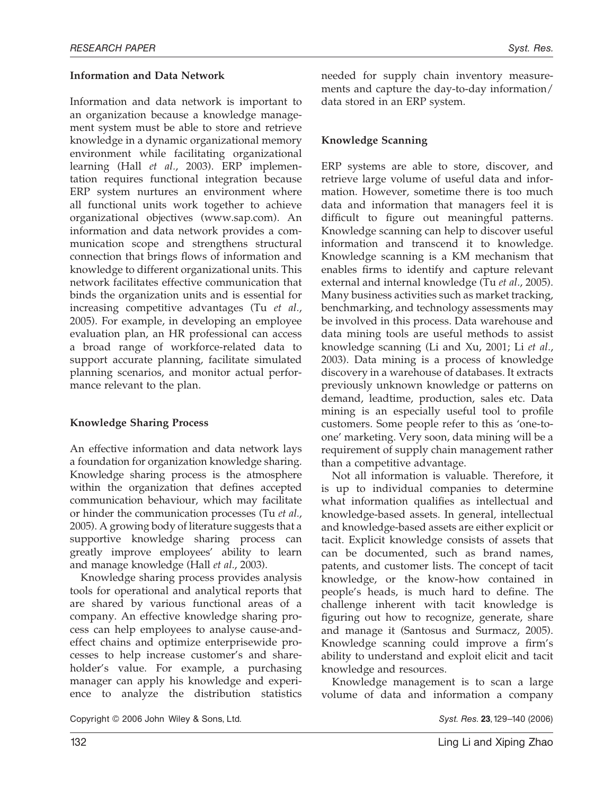#### Information and Data Network

Information and data network is important to an organization because a knowledge management system must be able to store and retrieve knowledge in a dynamic organizational memory environment while facilitating organizational learning (Hall et al., 2003). ERP implementation requires functional integration because ERP system nurtures an environment where all functional units work together to achieve organizational objectives (www.sap.com). An information and data network provides a communication scope and strengthens structural connection that brings flows of information and knowledge to different organizational units. This network facilitates effective communication that binds the organization units and is essential for increasing competitive advantages (Tu et al., 2005). For example, in developing an employee evaluation plan, an HR professional can access a broad range of workforce-related data to support accurate planning, facilitate simulated planning scenarios, and monitor actual performance relevant to the plan.

#### Knowledge Sharing Process

An effective information and data network lays a foundation for organization knowledge sharing. Knowledge sharing process is the atmosphere within the organization that defines accepted communication behaviour, which may facilitate or hinder the communication processes (Tu et al., 2005). A growing body of literature suggests that a supportive knowledge sharing process can greatly improve employees' ability to learn and manage knowledge (Hall et al., 2003).

Knowledge sharing process provides analysis tools for operational and analytical reports that are shared by various functional areas of a company. An effective knowledge sharing process can help employees to analyse cause-andeffect chains and optimize enterprisewide processes to help increase customer's and shareholder's value. For example, a purchasing manager can apply his knowledge and experience to analyze the distribution statistics

needed for supply chain inventory measurements and capture the day-to-day information/ data stored in an ERP system.

## Knowledge Scanning

ERP systems are able to store, discover, and retrieve large volume of useful data and information. However, sometime there is too much data and information that managers feel it is difficult to figure out meaningful patterns. Knowledge scanning can help to discover useful information and transcend it to knowledge. Knowledge scanning is a KM mechanism that enables firms to identify and capture relevant external and internal knowledge (Tu et al., 2005). Many business activities such as market tracking, benchmarking, and technology assessments may be involved in this process. Data warehouse and data mining tools are useful methods to assist knowledge scanning (Li and Xu, 2001; Li et al., 2003). Data mining is a process of knowledge discovery in a warehouse of databases. It extracts previously unknown knowledge or patterns on demand, leadtime, production, sales etc. Data mining is an especially useful tool to profile customers. Some people refer to this as 'one-toone' marketing. Very soon, data mining will be a requirement of supply chain management rather than a competitive advantage.

Not all information is valuable. Therefore, it is up to individual companies to determine what information qualifies as intellectual and knowledge-based assets. In general, intellectual and knowledge-based assets are either explicit or tacit. Explicit knowledge consists of assets that can be documented, such as brand names, patents, and customer lists. The concept of tacit knowledge, or the know-how contained in people's heads, is much hard to define. The challenge inherent with tacit knowledge is figuring out how to recognize, generate, share and manage it (Santosus and Surmacz, 2005). Knowledge scanning could improve a firm's ability to understand and exploit elicit and tacit knowledge and resources.

Knowledge management is to scan a large volume of data and information a company

Copyright © 2006 John Wiley & Sons, Ltd. Syst. Res. 23, 129-140 (2006) Syst. Res. 23, 129-140 (2006)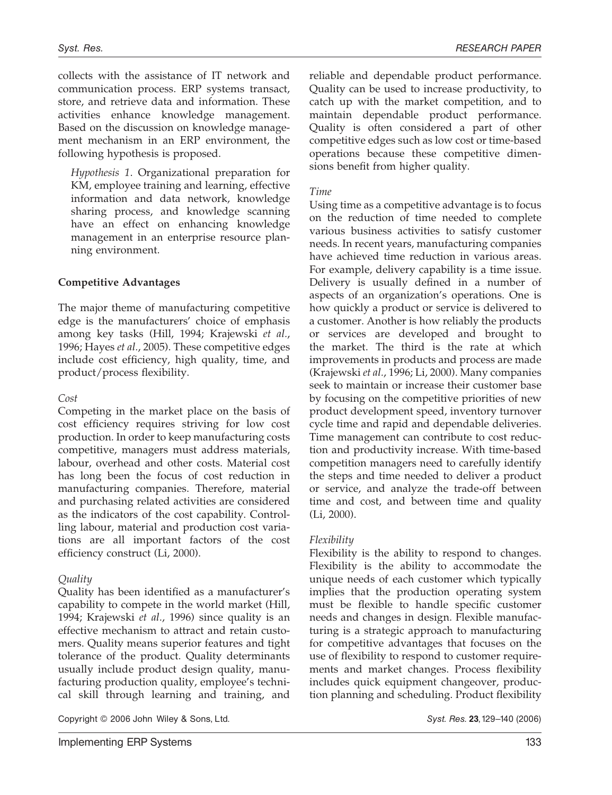collects with the assistance of IT network and communication process. ERP systems transact, store, and retrieve data and information. These activities enhance knowledge management. Based on the discussion on knowledge management mechanism in an ERP environment, the following hypothesis is proposed.

Hypothesis 1. Organizational preparation for KM, employee training and learning, effective information and data network, knowledge sharing process, and knowledge scanning have an effect on enhancing knowledge management in an enterprise resource planning environment.

#### Competitive Advantages

The major theme of manufacturing competitive edge is the manufacturers' choice of emphasis among key tasks (Hill, 1994; Krajewski et al., 1996; Hayes et al., 2005). These competitive edges include cost efficiency, high quality, time, and product/process flexibility.

#### Cost

Competing in the market place on the basis of cost efficiency requires striving for low cost production. In order to keep manufacturing costs competitive, managers must address materials, labour, overhead and other costs. Material cost has long been the focus of cost reduction in manufacturing companies. Therefore, material and purchasing related activities are considered as the indicators of the cost capability. Controlling labour, material and production cost variations are all important factors of the cost efficiency construct (Li, 2000).

#### Quality

Quality has been identified as a manufacturer's capability to compete in the world market (Hill, 1994; Krajewski et al., 1996) since quality is an effective mechanism to attract and retain customers. Quality means superior features and tight tolerance of the product. Quality determinants usually include product design quality, manufacturing production quality, employee's technical skill through learning and training, and reliable and dependable product performance. Quality can be used to increase productivity, to catch up with the market competition, and to maintain dependable product performance. Quality is often considered a part of other competitive edges such as low cost or time-based operations because these competitive dimensions benefit from higher quality.

#### Time

Using time as a competitive advantage is to focus on the reduction of time needed to complete various business activities to satisfy customer needs. In recent years, manufacturing companies have achieved time reduction in various areas. For example, delivery capability is a time issue. Delivery is usually defined in a number of aspects of an organization's operations. One is how quickly a product or service is delivered to a customer. Another is how reliably the products or services are developed and brought to the market. The third is the rate at which improvements in products and process are made (Krajewski et al., 1996; Li, 2000). Many companies seek to maintain or increase their customer base by focusing on the competitive priorities of new product development speed, inventory turnover cycle time and rapid and dependable deliveries. Time management can contribute to cost reduction and productivity increase. With time-based competition managers need to carefully identify the steps and time needed to deliver a product or service, and analyze the trade-off between time and cost, and between time and quality (Li, 2000).

#### Flexibility

Flexibility is the ability to respond to changes. Flexibility is the ability to accommodate the unique needs of each customer which typically implies that the production operating system must be flexible to handle specific customer needs and changes in design. Flexible manufacturing is a strategic approach to manufacturing for competitive advantages that focuses on the use of flexibility to respond to customer requirements and market changes. Process flexibility includes quick equipment changeover, production planning and scheduling. Product flexibility

Copyright © 2006 John Wiley & Sons, Ltd. Syst. Res. 23,129-140 (2006) 39st. Res. 23,129-140 (2006)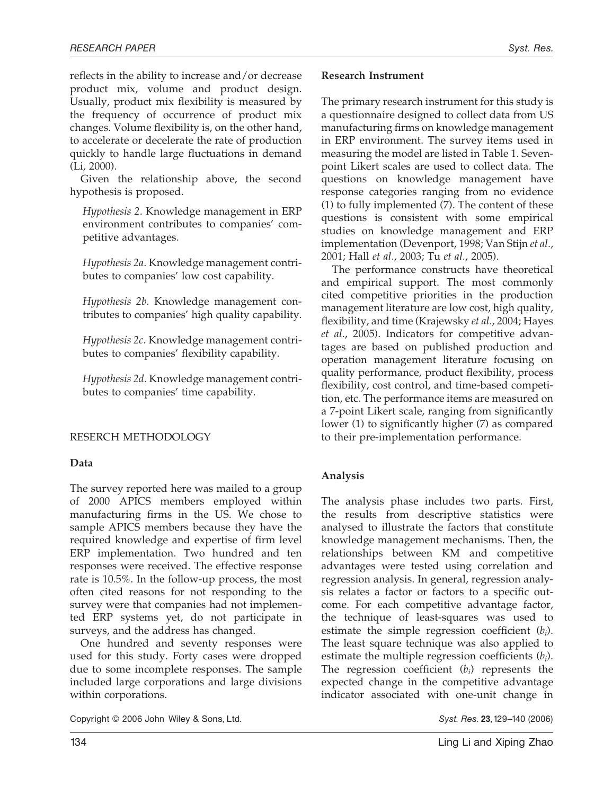reflects in the ability to increase and/or decrease product mix, volume and product design. Usually, product mix flexibility is measured by the frequency of occurrence of product mix changes. Volume flexibility is, on the other hand, to accelerate or decelerate the rate of production quickly to handle large fluctuations in demand (Li, 2000).

Given the relationship above, the second hypothesis is proposed.

Hypothesis 2. Knowledge management in ERP environment contributes to companies' competitive advantages.

Hypothesis 2a. Knowledge management contributes to companies' low cost capability.

Hypothesis 2b. Knowledge management contributes to companies' high quality capability.

Hypothesis 2c. Knowledge management contributes to companies' flexibility capability.

Hypothesis 2d. Knowledge management contributes to companies' time capability.

# RESERCH METHODOLOGY

## Data

The survey reported here was mailed to a group of 2000 APICS members employed within manufacturing firms in the US. We chose to sample APICS members because they have the required knowledge and expertise of firm level ERP implementation. Two hundred and ten responses were received. The effective response rate is 10.5%. In the follow-up process, the most often cited reasons for not responding to the survey were that companies had not implemented ERP systems yet, do not participate in surveys, and the address has changed.

One hundred and seventy responses were used for this study. Forty cases were dropped due to some incomplete responses. The sample included large corporations and large divisions within corporations.

Copyright © 2006 John Wiley & Sons, Ltd. Syst. Res. 23, 129-140 (2006) 39st. Res. 23, 129-140 (2006)

#### Research Instrument

The primary research instrument for this study is a questionnaire designed to collect data from US manufacturing firms on knowledge management in ERP environment. The survey items used in measuring the model are listed in Table 1. Sevenpoint Likert scales are used to collect data. The questions on knowledge management have response categories ranging from no evidence (1) to fully implemented (7). The content of these questions is consistent with some empirical studies on knowledge management and ERP implementation (Devenport, 1998; Van Stijn et al., 2001; Hall et al., 2003; Tu et al., 2005).

The performance constructs have theoretical and empirical support. The most commonly cited competitive priorities in the production management literature are low cost, high quality, flexibility, and time (Krajewsky et al., 2004; Hayes et al., 2005). Indicators for competitive advantages are based on published production and operation management literature focusing on quality performance, product flexibility, process flexibility, cost control, and time-based competition, etc. The performance items are measured on a 7-point Likert scale, ranging from significantly lower (1) to significantly higher (7) as compared to their pre-implementation performance.

# Analysis

The analysis phase includes two parts. First, the results from descriptive statistics were analysed to illustrate the factors that constitute knowledge management mechanisms. Then, the relationships between KM and competitive advantages were tested using correlation and regression analysis. In general, regression analysis relates a factor or factors to a specific outcome. For each competitive advantage factor, the technique of least-squares was used to estimate the simple regression coefficient  $(b_i)$ . The least square technique was also applied to estimate the multiple regression coefficients  $(b_i)$ . The regression coefficient  $(b_i)$  represents the expected change in the competitive advantage indicator associated with one-unit change in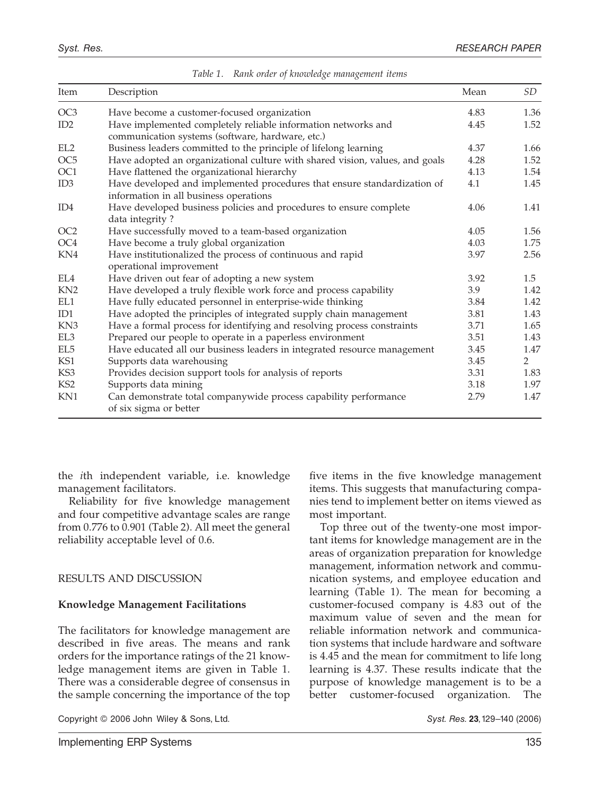| Item            | Description                                                                                                        | Mean | SD             |
|-----------------|--------------------------------------------------------------------------------------------------------------------|------|----------------|
| OC <sub>3</sub> | Have become a customer-focused organization                                                                        | 4.83 | 1.36           |
| ID2             | Have implemented completely reliable information networks and<br>communication systems (software, hardware, etc.)  | 4.45 | 1.52           |
| EL <sub>2</sub> | Business leaders committed to the principle of lifelong learning                                                   | 4.37 | 1.66           |
| OC <sub>5</sub> | Have adopted an organizational culture with shared vision, values, and goals                                       | 4.28 | 1.52           |
| OC <sub>1</sub> | Have flattened the organizational hierarchy                                                                        | 4.13 | 1.54           |
| ID <sub>3</sub> | Have developed and implemented procedures that ensure standardization of<br>information in all business operations | 4.1  | 1.45           |
| ID4             | Have developed business policies and procedures to ensure complete<br>data integrity?                              | 4.06 | 1.41           |
| OC <sub>2</sub> | Have successfully moved to a team-based organization                                                               | 4.05 | 1.56           |
| OC <sub>4</sub> | Have become a truly global organization                                                                            | 4.03 | 1.75           |
| KN4             | Have institutionalized the process of continuous and rapid<br>operational improvement                              | 3.97 | 2.56           |
| EL4             | Have driven out fear of adopting a new system                                                                      | 3.92 | 1.5            |
| KN <sub>2</sub> | Have developed a truly flexible work force and process capability                                                  | 3.9  | 1.42           |
| EL1             | Have fully educated personnel in enterprise-wide thinking                                                          | 3.84 | 1.42           |
| ID1             | Have adopted the principles of integrated supply chain management                                                  | 3.81 | 1.43           |
| KN3             | Have a formal process for identifying and resolving process constraints                                            | 3.71 | 1.65           |
| EL3             | Prepared our people to operate in a paperless environment                                                          | 3.51 | 1.43           |
| EL5             | Have educated all our business leaders in integrated resource management                                           | 3.45 | 1.47           |
| KS1             | Supports data warehousing                                                                                          | 3.45 | $\overline{2}$ |
| KS3             | Provides decision support tools for analysis of reports                                                            | 3.31 | 1.83           |
| KS <sub>2</sub> | Supports data mining                                                                                               | 3.18 | 1.97           |
| KN1             | Can demonstrate total companywide process capability performance<br>of six sigma or better                         | 2.79 | 1.47           |

| Table 1. |  |  |  | Rank order of knowledge management items |  |
|----------|--|--|--|------------------------------------------|--|
|----------|--|--|--|------------------------------------------|--|

the ith independent variable, i.e. knowledge management facilitators.

Reliability for five knowledge management and four competitive advantage scales are range from 0.776 to 0.901 (Table 2). All meet the general reliability acceptable level of 0.6.

#### RESULTS AND DISCUSSION

#### Knowledge Management Facilitations

The facilitators for knowledge management are described in five areas. The means and rank orders for the importance ratings of the 21 knowledge management items are given in Table 1. There was a considerable degree of consensus in the sample concerning the importance of the top five items in the five knowledge management items. This suggests that manufacturing companies tend to implement better on items viewed as most important.

Top three out of the twenty-one most important items for knowledge management are in the areas of organization preparation for knowledge management, information network and communication systems, and employee education and learning (Table 1). The mean for becoming a customer-focused company is 4.83 out of the maximum value of seven and the mean for reliable information network and communication systems that include hardware and software is 4.45 and the mean for commitment to life long learning is 4.37. These results indicate that the purpose of knowledge management is to be a better customer-focused organization. The

Copyright © 2006 John Wiley & Sons, Ltd. Syst. Res. 23,129-140 (2006) Syst. Res. 23,129-140 (2006)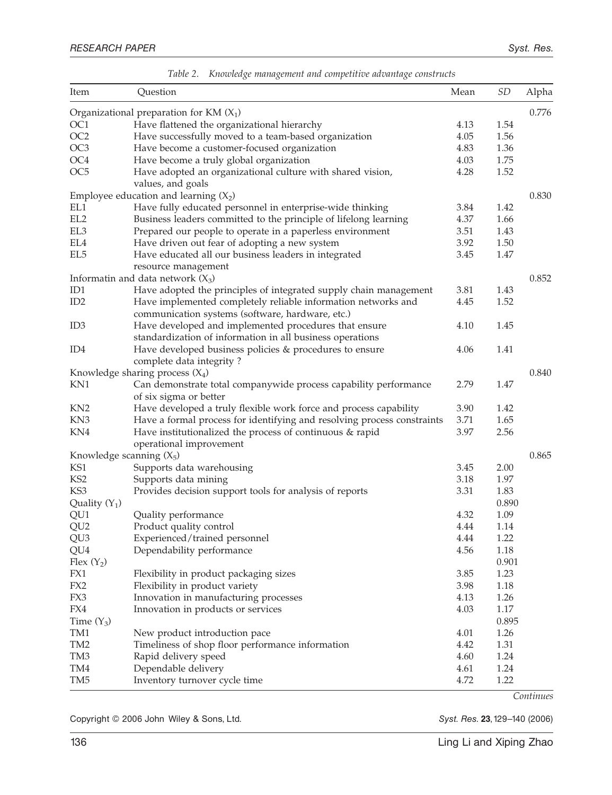| Item            | Question                                                                | Mean | SD    | Alpha |
|-----------------|-------------------------------------------------------------------------|------|-------|-------|
|                 | Organizational preparation for KM $(X_1)$                               |      |       | 0.776 |
| OC <sub>1</sub> | Have flattened the organizational hierarchy                             | 4.13 | 1.54  |       |
| OC2             | Have successfully moved to a team-based organization                    | 4.05 | 1.56  |       |
| OC <sub>3</sub> | Have become a customer-focused organization                             | 4.83 | 1.36  |       |
| OC <sub>4</sub> | Have become a truly global organization                                 | 4.03 | 1.75  |       |
| OC <sub>5</sub> | Have adopted an organizational culture with shared vision,              | 4.28 | 1.52  |       |
|                 | values, and goals                                                       |      |       |       |
|                 | Employee education and learning $(X_2)$                                 |      |       | 0.830 |
| EL1             | Have fully educated personnel in enterprise-wide thinking               | 3.84 | 1.42  |       |
| EL <sub>2</sub> | Business leaders committed to the principle of lifelong learning        | 4.37 | 1.66  |       |
| EL3             | Prepared our people to operate in a paperless environment               | 3.51 | 1.43  |       |
| EL4             | Have driven out fear of adopting a new system                           | 3.92 | 1.50  |       |
| EL <sub>5</sub> | Have educated all our business leaders in integrated                    | 3.45 | 1.47  |       |
|                 | resource management                                                     |      |       |       |
|                 | Informatin and data network $(X_3)$                                     |      |       | 0.852 |
| ID1             | Have adopted the principles of integrated supply chain management       | 3.81 | 1.43  |       |
| ID2             | Have implemented completely reliable information networks and           | 4.45 | 1.52  |       |
|                 | communication systems (software, hardware, etc.)                        |      |       |       |
| ID <sub>3</sub> | Have developed and implemented procedures that ensure                   | 4.10 | 1.45  |       |
|                 | standardization of information in all business operations               |      |       |       |
| ID <sub>4</sub> | Have developed business policies & procedures to ensure                 | 4.06 | 1.41  |       |
|                 | complete data integrity?                                                |      |       |       |
|                 | Knowledge sharing process $(X_4)$                                       |      |       | 0.840 |
| KN1             | Can demonstrate total companywide process capability performance        | 2.79 | 1.47  |       |
|                 | of six sigma or better                                                  |      |       |       |
| KN <sub>2</sub> | Have developed a truly flexible work force and process capability       | 3.90 | 1.42  |       |
| KN <sub>3</sub> | Have a formal process for identifying and resolving process constraints | 3.71 | 1.65  |       |
| KN4             | Have institutionalized the process of continuous & rapid                | 3.97 | 2.56  |       |
|                 | operational improvement                                                 |      |       |       |
|                 | Knowledge scanning $(X_5)$                                              |      |       | 0.865 |
| KS1             | Supports data warehousing                                               | 3.45 | 2.00  |       |
| KS <sub>2</sub> | Supports data mining                                                    | 3.18 | 1.97  |       |
| KS3             | Provides decision support tools for analysis of reports                 | 3.31 | 1.83  |       |
| Quality $(Y_1)$ |                                                                         |      | 0.890 |       |
| QU1             | Quality performance                                                     | 4.32 | 1.09  |       |
| QU <sub>2</sub> | Product quality control                                                 | 4.44 | 1.14  |       |
| QU <sub>3</sub> | Experienced/trained personnel                                           | 4.44 | 1.22  |       |
| QU4             | Dependability performance                                               | 4.56 | 1.18  |       |
| Flex $(Y_2)$    |                                                                         |      | 0.901 |       |
| FX1             | Flexibility in product packaging sizes                                  | 3.85 | 1.23  |       |
| FX <sub>2</sub> | Flexibility in product variety                                          | 3.98 | 1.18  |       |
| FX3             | Innovation in manufacturing processes                                   | 4.13 | 1.26  |       |
| FX4             | Innovation in products or services                                      | 4.03 | 1.17  |       |
| Time $(Y_3)$    |                                                                         |      | 0.895 |       |
| TM1             | New product introduction pace                                           | 4.01 | 1.26  |       |
| TM2             | Timeliness of shop floor performance information                        | 4.42 | 1.31  |       |
| TM3             | Rapid delivery speed                                                    | 4.60 | 1.24  |       |
| TM4             | Dependable delivery                                                     | 4.61 | 1.24  |       |
| TM5             | Inventory turnover cycle time                                           | 4.72 | 1.22  |       |
|                 |                                                                         |      |       |       |

| Table 2. |  |  |  | Knowledge management and competitive advantage constructs |  |  |
|----------|--|--|--|-----------------------------------------------------------|--|--|
|----------|--|--|--|-----------------------------------------------------------|--|--|

Copyright © 2006 John Wiley & Sons, Ltd. Syst. Res. 23,129-140 (2006)

**Continues**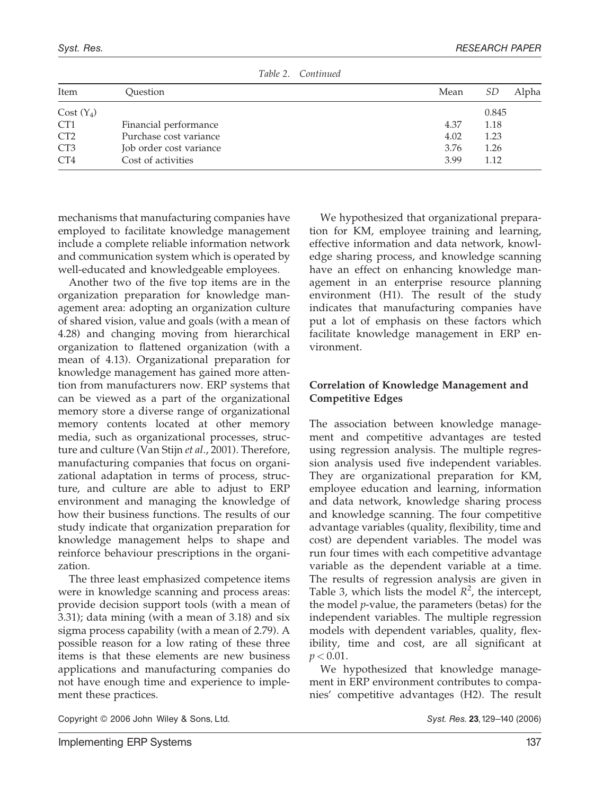|                 | -------------           |      |       |       |
|-----------------|-------------------------|------|-------|-------|
| Item            | Ouestion                | Mean | SD    | Alpha |
| $Cost(Y_4)$     |                         |      | 0.845 |       |
| CT <sub>1</sub> | Financial performance   | 4.37 | 1.18  |       |
| C <sub>T2</sub> | Purchase cost variance  | 4.02 | 1.23  |       |
| CT <sub>3</sub> | Job order cost variance | 3.76 | 1.26  |       |
| CT <sub>4</sub> | Cost of activities      | 3.99 | 1.12  |       |

Table 2. Continued

mechanisms that manufacturing companies have employed to facilitate knowledge management include a complete reliable information network and communication system which is operated by well-educated and knowledgeable employees.

Another two of the five top items are in the organization preparation for knowledge management area: adopting an organization culture of shared vision, value and goals (with a mean of 4.28) and changing moving from hierarchical organization to flattened organization (with a mean of 4.13). Organizational preparation for knowledge management has gained more attention from manufacturers now. ERP systems that can be viewed as a part of the organizational memory store a diverse range of organizational memory contents located at other memory media, such as organizational processes, structure and culture (Van Stijn et al., 2001). Therefore, manufacturing companies that focus on organizational adaptation in terms of process, structure, and culture are able to adjust to ERP environment and managing the knowledge of how their business functions. The results of our study indicate that organization preparation for knowledge management helps to shape and reinforce behaviour prescriptions in the organization.

The three least emphasized competence items were in knowledge scanning and process areas: provide decision support tools (with a mean of 3.31); data mining (with a mean of 3.18) and six sigma process capability (with a mean of 2.79). A possible reason for a low rating of these three items is that these elements are new business applications and manufacturing companies do not have enough time and experience to implement these practices.

We hypothesized that organizational preparation for KM, employee training and learning, effective information and data network, knowledge sharing process, and knowledge scanning have an effect on enhancing knowledge management in an enterprise resource planning environment (H1). The result of the study indicates that manufacturing companies have put a lot of emphasis on these factors which facilitate knowledge management in ERP environment.

## Correlation of Knowledge Management and Competitive Edges

The association between knowledge management and competitive advantages are tested using regression analysis. The multiple regression analysis used five independent variables. They are organizational preparation for KM, employee education and learning, information and data network, knowledge sharing process and knowledge scanning. The four competitive advantage variables (quality, flexibility, time and cost) are dependent variables. The model was run four times with each competitive advantage variable as the dependent variable at a time. The results of regression analysis are given in Table 3, which lists the model  $R^2$ , the intercept, the model  $p$ -value, the parameters (betas) for the independent variables. The multiple regression models with dependent variables, quality, flexibility, time and cost, are all significant at  $p < 0.01$ .

We hypothesized that knowledge management in ERP environment contributes to companies' competitive advantages (H2). The result

Copyright © 2006 John Wiley & Sons, Ltd. Syst. Res. 23,129-140 (2006) Syst. Res. 23,129-140 (2006)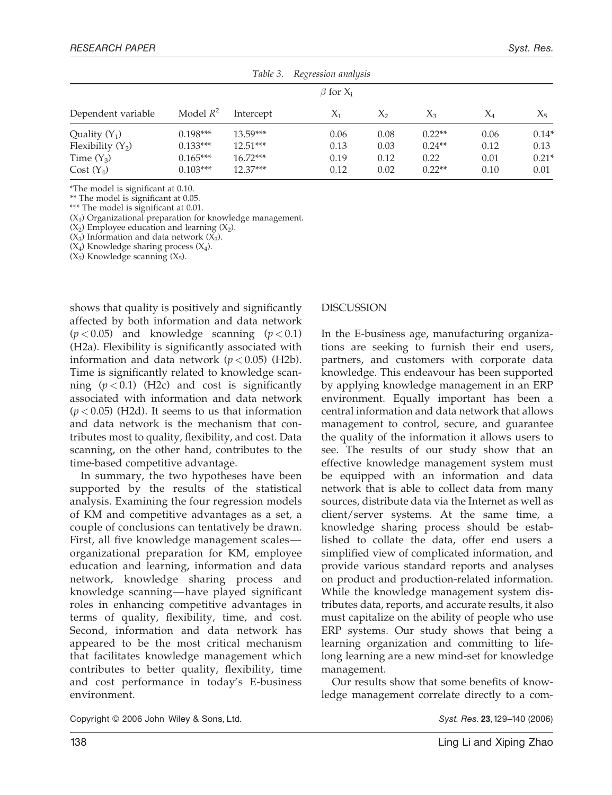|                                                                       |                                                      | Table 3.                                             | Regression analysis          |                              |                                          |                              |                                    |
|-----------------------------------------------------------------------|------------------------------------------------------|------------------------------------------------------|------------------------------|------------------------------|------------------------------------------|------------------------------|------------------------------------|
| $\beta$ for $X_i$                                                     |                                                      |                                                      |                              |                              |                                          |                              |                                    |
| Dependent variable                                                    | Model $R^2$                                          | Intercept                                            | $X_1$                        | $X_{2}$                      | $X_{3}$                                  | $\chi_{_A}$                  | $X_5$                              |
| Quality $(Y_1)$<br>Flexibility $(Y_2)$<br>Time $(Y_3)$<br>$Cost(Y_4)$ | $0.198***$<br>$0.133***$<br>$0.165***$<br>$0.103***$ | $13.59***$<br>$12.51***$<br>$16.72***$<br>$12.37***$ | 0.06<br>0.13<br>0.19<br>0.12 | 0.08<br>0.03<br>0.12<br>0.02 | $0.22**$<br>$0.24**$<br>0.22<br>$0.22**$ | 0.06<br>0.12<br>0.01<br>0.10 | $0.14*$<br>0.13<br>$0.21*$<br>0.01 |

\*The model is significant at 0.10.

\*\* The model is significant at 0.05.

\*\*\* The model is significant at 0.01.

 $(X_1)$  Organizational preparation for knowledge management.

 $(X_2)$  Employee education and learning  $(X_2)$ .

 $(X_3)$  Information and data network  $(X_3)$ .

 $(X_4)$  Knowledge sharing process  $(X_4)$ .

 $(X_5)$  Knowledge scanning  $(X_5)$ .

shows that quality is positively and significantly affected by both information and data network  $(p < 0.05)$  and knowledge scanning  $(p < 0.1)$ (H2a). Flexibility is significantly associated with information and data network ( $p < 0.05$ ) (H2b). Time is significantly related to knowledge scanning  $(p < 0.1)$  (H2c) and cost is significantly associated with information and data network  $(p < 0.05)$  (H2d). It seems to us that information and data network is the mechanism that contributes most to quality, flexibility, and cost. Data scanning, on the other hand, contributes to the time-based competitive advantage.

In summary, the two hypotheses have been supported by the results of the statistical analysis. Examining the four regression models of KM and competitive advantages as a set, a couple of conclusions can tentatively be drawn. First, all five knowledge management scales organizational preparation for KM, employee education and learning, information and data network, knowledge sharing process and knowledge scanning—have played significant roles in enhancing competitive advantages in terms of quality, flexibility, time, and cost. Second, information and data network has appeared to be the most critical mechanism that facilitates knowledge management which contributes to better quality, flexibility, time and cost performance in today's E-business environment.

#### DISCUSSION

In the E-business age, manufacturing organizations are seeking to furnish their end users, partners, and customers with corporate data knowledge. This endeavour has been supported by applying knowledge management in an ERP environment. Equally important has been a central information and data network that allows management to control, secure, and guarantee the quality of the information it allows users to see. The results of our study show that an effective knowledge management system must be equipped with an information and data network that is able to collect data from many sources, distribute data via the Internet as well as client/server systems. At the same time, a knowledge sharing process should be established to collate the data, offer end users a simplified view of complicated information, and provide various standard reports and analyses on product and production-related information. While the knowledge management system distributes data, reports, and accurate results, it also must capitalize on the ability of people who use ERP systems. Our study shows that being a learning organization and committing to lifelong learning are a new mind-set for knowledge management.

Our results show that some benefits of knowledge management correlate directly to a com-

Copyright © 2006 John Wiley & Sons, Ltd. Syst. Res. 23, 129-140 (2006) Syst. Res. 23, 129-140 (2006)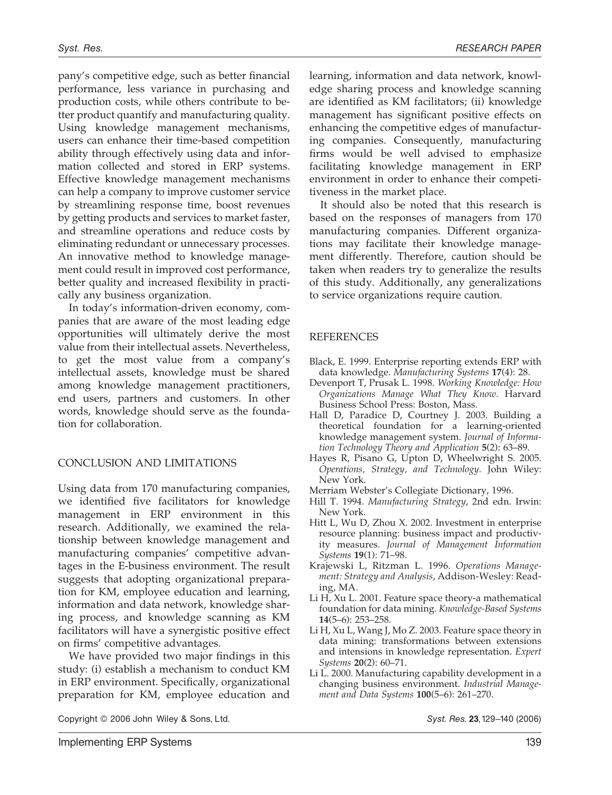pany's competitive edge, such as better financial performance, less variance in purchasing and production costs, while others contribute to better product quantify and manufacturing quality. Using knowledge management mechanisms, users can enhance their time-based competition ability through effectively using data and information collected and stored in ERP systems. Effective knowledge management mechanisms can help a company to improve customer service by streamlining response time, boost revenues by getting products and services to market faster, and streamline operations and reduce costs by eliminating redundant or unnecessary processes. An innovative method to knowledge management could result in improved cost performance, better quality and increased flexibility in practically any business organization.

In today's information-driven economy, companies that are aware of the most leading edge opportunities will ultimately derive the most value from their intellectual assets. Nevertheless, to get the most value from a company's intellectual assets, knowledge must be shared among knowledge management practitioners, end users, partners and customers. In other words, knowledge should serve as the foundation for collaboration.

#### CONCLUSION AND LIMITATIONS

Using data from 170 manufacturing companies, we identified five facilitators for knowledge management in ERP environment in this research. Additionally, we examined the relationship between knowledge management and manufacturing companies' competitive advantages in the E-business environment. The result suggests that adopting organizational preparation for KM, employee education and learning, information and data network, knowledge sharing process, and knowledge scanning as KM facilitators will have a synergistic positive effect on firms' competitive advantages.

We have provided two major findings in this study: (i) establish a mechanism to conduct KM in ERP environment. Specifically, organizational preparation for KM, employee education and learning, information and data network, knowledge sharing process and knowledge scanning are identified as KM facilitators; (ii) knowledge management has significant positive effects on enhancing the competitive edges of manufacturing companies. Consequently, manufacturing firms would be well advised to emphasize facilitating knowledge management in ERP environment in order to enhance their competitiveness in the market place.

It should also be noted that this research is based on the responses of managers from 170 manufacturing companies. Different organizations may facilitate their knowledge management differently. Therefore, caution should be taken when readers try to generalize the results of this study. Additionally, any generalizations to service organizations require caution.

#### **REFERENCES**

- Black, E. 1999. Enterprise reporting extends ERP with data knowledge. Manufacturing Systems 17(4): 28.
- Devenport T, Prusak L. 1998. Working Knowledge: How Organizations Manage What They Know. Harvard Business School Press: Boston, Mass.
- Hall D, Paradice D, Courtney J. 2003. Building a theoretical foundation for a learning-oriented knowledge management system. Journal of Information Technology Theory and Application 5(2): 63–89.
- Hayes R, Pisano G, Upton D, Wheelwright S. 2005. Operations, Strategy, and Technology. John Wiley: New York.
- Merriam Webster's Collegiate Dictionary, 1996.
- Hill T. 1994. Manufacturing Strategy, 2nd edn. Irwin: New York.
- Hitt L, Wu D, Zhou X. 2002. Investment in enterprise resource planning: business impact and productivity measures. Journal of Management Information Systems 19(1): 71–98.
- Krajewski L, Ritzman L. 1996. Operations Management: Strategy and Analysis, Addison-Wesley: Reading, MA.
- Li H, Xu L. 2001. Feature space theory-a mathematical foundation for data mining. Knowledge-Based Systems 14(5–6): 253–258.
- Li H, Xu L, Wang J, Mo Z. 2003. Feature space theory in data mining: transformations between extensions and intensions in knowledge representation. Expert Systems 20(2): 60–71.
- Li L. 2000. Manufacturing capability development in a changing business environment. Industrial Management and Data Systems 100(5–6): 261–270.

Copyright © 2006 John Wiley & Sons, Ltd. Syst. Res. 23,129-140 (2006) Syst. Res. 23,129-140 (2006)